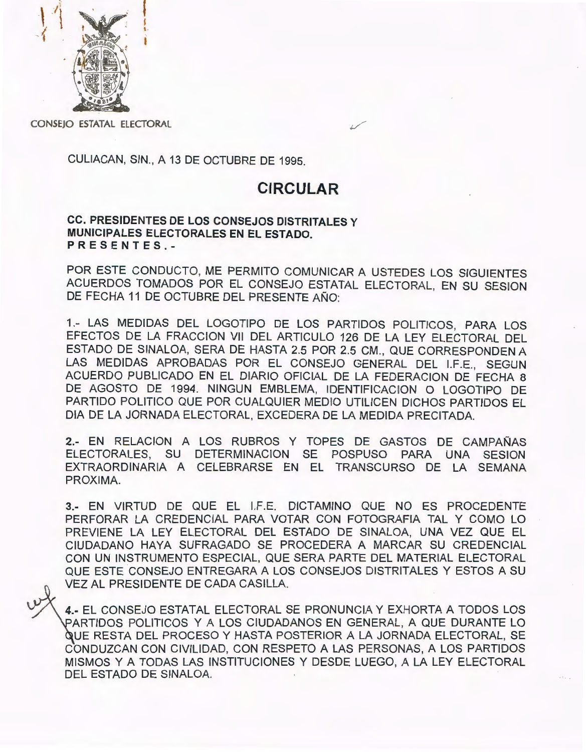

CONSEJO ESTATAL ELECTORAL

CULIACAN, SIN., A 13 DE OCTUBRE DE 1995.

## **CIRCULAR**

ce. PRESIDENTES DE LOS CONSEJOS DISTRITALES y MUNICIPALES ELECTORALES EN EL ESTADO. PRESENTES.-

POR ESTE CONDUCTO, ME PERMITO COMUNICAR A USTEDES LOS SIGUIENTES ACUERDOS TOMADOS POR EL CONSEJO ESTATAL ELECTORAL, EN SU SESION DE FECHA 11 DE OCTUBRE DEL PRESENTE AÑO:

1.- LAS MEDIDAS DEL LOGOTIPO DE LOS PARTIDOS POLITICOS, PARA LOS EFECTOS DE LA FRACCION VII DEL ARTICULO 126 DE LA LEY ELECTORAL DEL ESTADO DE SINALOA, SERA DE HASTA 2.5 POR 2.5 CM ., QUE CORRESPONDEN A LAS MEDIDAS APROBADAS POR EL CONSEJO GENERAL DEL 1.F.E., SEGUN ACUERDO PUBLICADO EN EL DIARIO OFICIAL DE LA FEDERACION DE FECHA 8 DE AGOSTO DE 1994. NINGUN EMBLEMA, IDENTIFICACION O LOGOTIPO DE PARTIDO POLITICO QUE POR CUALQUIER MEDIO UTILICEN DICHOS PARTIDOS EL DIA DE LA JORNADA ELECTORAL, EXCEDERA DE LA MEDIDA PRECITADA.

2.- EN RELACION A LOS RUBROS Y TOPES DE GASTOS DE CAMPAÑAS ELECTORALES, SU DETERMINACION SE POSPUSO PARA UNA SESION EXTRAORDINARIA A CELEBRARSE EN EL TRANSCURSO DE LA SEMANA PROXIMA.

3.- EN VIRTUD DE QUE EL l.F.E. DICTAMINO QUE NO ES PROCEDENTE PERFORAR LA CREDENCIAL PARA VOTAR CON FOTOGRAFIA TAL Y COMO LO PREVIENE LA LEY ELECTORAL DEL ESTADO DE SINALOA, UNA VEZ QUE EL CIUDADANO HAYA SUFRAGADO SE PROCEDERA A MARCAR SU CREDENCIAL CON UN INSTRUMENTO ESPECIAL, QUE SERA PARTE DEL MATERIAL ELECTORAL QUE ESTE CONSEJO ENTREGARA A LOS CONSEJOS DISTRITALES Y ESTOS A SU VEZ AL PRESIDENTE DE CADA CASILLA.

4.- EL CONSEJO ESTATAL ELECTORAL SE PRONUNCIA Y EXHORTA A TODOS LOS ARTIDOS POLITICOS Y A LOS CIUDADANOS EN GENERAL, A QUE DURANTE LO UE RESTA DEL PROCESO Y HASTA POSTERIOR A LA JORNADA ELECTORAL, SE CONDUZCAN CON CIVILIDAD, CON RESPETO A LAS PERSONAS, A LOS PARTIDOS MISMOS Y A TODAS LAS INSTITUCIONES Y DESDE LUEGO, A LA LEY ELECTORAL DEL ESTADO DE SINALOA.